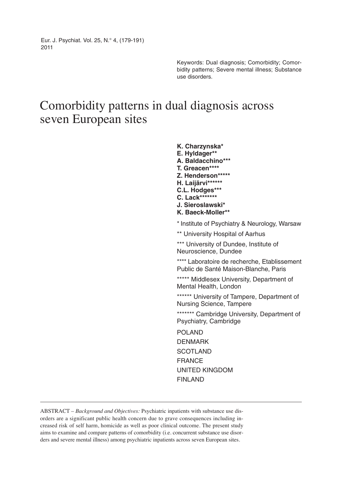Eur. J. Psychiat. Vol. 25, N.° 4, (179-191) 2011

> Keywords: Dual diagnosis; Comorbidity; Comorbidity patterns; Severe mental illness; Substance use disorders.

# Comorbidity patterns in dual diagnosis across seven European sites

**K. Charzynska\* E. Hyldager\*\* A. Baldacchino\*\*\* T. Greacen\*\*\*\* Z. Henderson\*\*\*\*\* H. Laijärvi\*\*\*\*\*\* C.L. Hodges\*\*\* C. Lack\*\*\*\*\*\*\* J. Sieroslawski\* K. Baeck-Moller\*\*** \* Institute of Psychiatry & Neurology, Warsaw \*\* University Hospital of Aarhus \*\*\* University of Dundee, Institute of Neuroscience, Dundee \*\*\*\* Laboratoire de recherche, Etablissement Public de Santé Maison-Blanche, Paris \*\*\*\*\* Middlesex University, Department of Mental Health, London \*\*\*\*\*\* University of Tampere, Department of Nursing Science, Tampere \*\*\*\*\*\*\* Cambridge University, Department of Psychiatry, Cambridge POLAND DENMARK SCOTLAND FRANCE UNITED KINGDOM FINLAND

ABSTRACT – *Background and Objectives:* Psychiatric inpatients with substance use disorders are a significant public health concern due to grave consequences including increased risk of self harm, homicide as well as poor clinical outcome. The present study aims to examine and compare patterns of comorbidity (i.e. concurrent substance use disorders and severe mental illness) among psychiatric inpatients across seven European sites.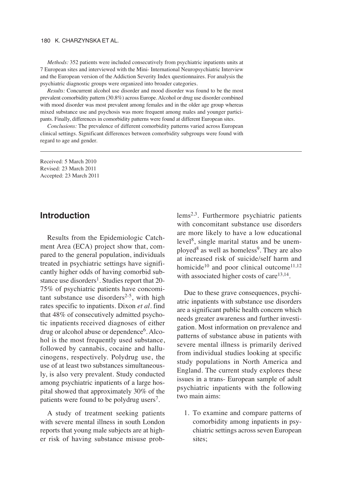#### 180 K. CHARZYNSKA ET AL.

*Methods:* 352 patients were included consecutively from psychiatric inpatients units at 7 European sites and interviewed with the Mini- International Neuropsychiatric Interview and the European version of the Addiction Severity Index questionnaires. For analysis the psychiatric diagnostic groups were organized into broader categories.

*Results:* Concurrent alcohol use disorder and mood disorder was found to be the most prevalent comorbidity pattern (30.8%) across Europe. Alcohol or drug use disorder combined with mood disorder was most prevalent among females and in the older age group whereas mixed substance use and psychosis was more frequent among males and younger participants. Finally, differences in comorbidity patterns were found at different European sites.

*Conclusions:* The prevalence of different comorbidity patterns varied across European clinical settings. Significant differences between comorbidity subgroups were found with regard to age and gender.

Received: 5 March 2010 Revised: 23 March 2011 Accepted: 23 March 2011

## **Introduction**

Results from the Epidemiologic Catchment Area (ECA) project show that, compared to the general population, individuals treated in psychiatric settings have significantly higher odds of having comorbid substance use disorders<sup>1</sup>. Studies report that 20-75% of psychiatric patients have concomitant substance use disorders<sup>2-5</sup>, with high rates specific to inpatients. Dixon *et al.* find that 48% of consecutively admitted psychotic inpatients received diagnoses of either drug or alcohol abuse or dependence<sup>6</sup>. Alcohol is the most frequently used substance, followed by cannabis, cocaine and hallucinogens, respectively. Polydrug use, the use of at least two substances simultaneously, is also very prevalent. Study conducted among psychiatric inpatients of a large hospital showed that approximately 30% of the patients were found to be polydrug users<sup>7</sup>.

A study of treatment seeking patients with severe mental illness in south London reports that young male subjects are at higher risk of having substance misuse problems2,3. Furthermore psychiatric patients with concomitant substance use disorders are more likely to have a low educational level<sup>8</sup>, single marital status and be unemployed<sup>8</sup> as well as homeless<sup>9</sup>. They are also at increased risk of suicide/self harm and homicide<sup>10</sup> and poor clinical outcome<sup>11,12</sup> with associated higher costs of care $13,14$ .

Due to these grave consequences, psychiatric inpatients with substance use disorders are a significant public health concern which needs greater awareness and further investigation. Most information on prevalence and patterns of substance abuse in patients with severe mental illness is primarily derived from individual studies looking at specific study populations in North America and England. The current study explores these issues in a trans- European sample of adult psychiatric inpatients with the following two main aims:

1. To examine and compare patterns of comorbidity among inpatients in psychiatric settings across seven European sites;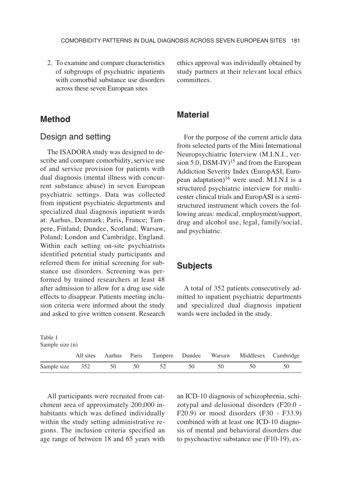2. To examine and compare characteristics of subgroups of psychiatric inpatients with comorbid substance use disorders across these seven European sites

ethics approval was individually obtained by study partners at their relevant local ethics committees.

## **Method**

#### Design and setting

The ISADORA study was designed to describe and compare comorbidity, service use of and service provision for patients with dual diagnosis (mental illness with concurrent substance abuse) in seven European psychiatric settings. Data was collected from inpatient psychiatric departments and specialized dual diagnosis inpatient wards at: Aarhus, Denmark; Paris, France; Tampere, Finland; Dundee, Scotland; Warsaw, Poland; London and Cambridge, England. Within each setting on-site psychiatrists identified potential study participants and referred them for initial screening for substance use disorders. Screening was performed by trained researchers at least 48 after admission to allow for a drug use side effects to disappear. Patients meeting inclusion criteria were informed about the study and asked to give written consent. Research

## **Material**

For the purpose of the current article data from selected parts of the Mini International Neuropsychiatric Interview (M.I.N.I., version  $5.0$ , DSM-IV)<sup>15</sup> and from the European Addiction Severity Index (EuropASI, European adaptation)<sup>16</sup> were used. M.I.N.I is a structured psychiatric interview for multicenter clinical trials and EuropASI is a semistructured instrument which covers the following areas: medical, employment/support, drug and alcohol use, legal, family/social, and psychiatric.

## **Subjects**

A total of 352 patients consecutively admitted to inpatient psychiatric departments and specialized dual diagnosis inpatient wards were included in the study.

| Table 1<br>Sample size (n) |           |    |    |    |    |    |                                                        |    |
|----------------------------|-----------|----|----|----|----|----|--------------------------------------------------------|----|
|                            | All sites |    |    |    |    |    | Aarhus Paris Tampere Dundee Warsaw Middlesex Cambridge |    |
| Sample size                | 352       | 50 | 50 | 52 | 50 | 50 | 50                                                     | 50 |

All participants were recruited from catchment area of approximately 200,000 inhabitants which was defined individually within the study setting administrative regions. The inclusion criteria specified an age range of between 18 and 65 years with an ICD-10 diagnosis of schizophrenia, schi zotypal and delusional disorders (F20.0 - F20.9) or mood disorders (F30 - F33.9) combined with at least one ICD-10 diagnosis of mental and behavioral disorders due to psychoactive substance use (F10-19), ex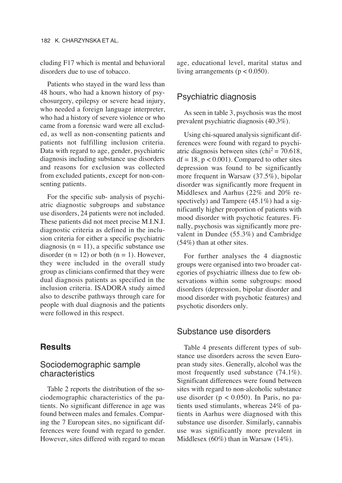cluding F17 which is mental and behavioral disorders due to use of tobacco.

Patients who stayed in the ward less than 48 hours, who had a known history of psychosurgery, epilepsy or severe head injury, who needed a foreign language interpreter, who had a history of severe violence or who came from a forensic ward were all excluded, as well as non-consenting patients and patients not fulfilling inclusion criteria. Data with regard to age, gender, psychiatric diagnosis including substance use disorders and reasons for exclusion was collected from excluded patients, except for non-consenting patients.

For the specific sub- analysis of psychiatric diagnostic subgroups and substance use disorders, 24 patients were not included. These patients did not meet precise M.I.N.I. diagnostic criteria as defined in the inclusion criteria for either a specific psychiatric diagnosis  $(n = 11)$ , a specific substance use disorder  $(n = 12)$  or both  $(n = 1)$ . However, they were included in the overall study group as clinicians confirmed that they were dual diagnosis patients as specified in the inclusion criteria. ISADORA study aimed also to describe pathways through care for people with dual diagnosis and the patients were followed in this respect.

## **Results**

## Sociodemographic sample characteristics

Table 2 reports the distribution of the sociodemographic characteristics of the patients. No significant difference in age was found between males and females. Comparing the 7 European sites, no significant differences were found with regard to gender. However, sites differed with regard to mean age, educational level, marital status and living arrangements ( $p < 0.050$ ).

#### Psychiatric diagnosis

As seen in table 3, psychosis was the most prevalent psychiatric diagnosis (40.3%).

Using chi-squared analysis significant differences were found with regard to psychiatric diagnosis between sites  $\text{(chi}^2 = 70.618,$  $df = 18$ ,  $p < 0.001$ ). Compared to other sites depression was found to be significantly more frequent in Warsaw (37.5%), bipolar disorder was significantly more frequent in Middlesex and Aarhus (22% and 20% respectively) and Tampere (45.1%) had a significantly higher proportion of patients with mood disorder with psychotic features. Finally, psychosis was significantly more prevalent in Dundee (55.3%) and Cambridge (54%) than at other sites.

For further analyses the 4 diagnostic groups were organised into two broader categories of psychiatric illness due to few observations within some subgroups: mood disorders (depression, bipolar disorder and mood disorder with psychotic features) and psychotic disorders only.

## Substance use disorders

Table 4 presents different types of substance use disorders across the seven European study sites. Generally, alcohol was the most frequently used substance (74.1%). Significant differences were found between sites with regard to non-alcoholic substance use disorder ( $p < 0.050$ ). In Paris, no patients used stimulants, whereas 24% of patients in Aarhus were diagnosed with this substance use disorder. Similarly, cannabis use was significantly more prevalent in Middlesex (60%) than in Warsaw (14%).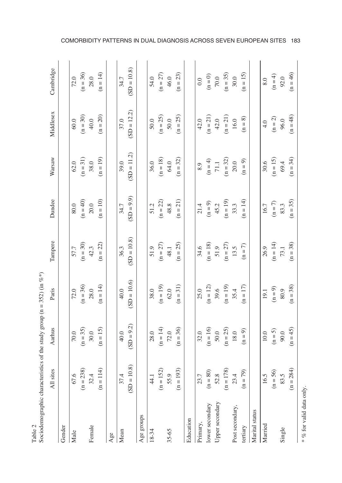| Sociodemographic characteristics of the study group ( $n = 352$ ) (in %*)<br>Table 2 |                                    |              |               |               |              |               |               |               |
|--------------------------------------------------------------------------------------|------------------------------------|--------------|---------------|---------------|--------------|---------------|---------------|---------------|
|                                                                                      | All sites                          | Aarhus       | Paris         | Tampere       | Dundee       | Warsaw        | Middlesex     | Cambridge     |
| Gender                                                                               |                                    |              |               |               |              |               |               |               |
| Male                                                                                 |                                    | 70.0         | 72.0          | 57.7          | 80.0         | 62.0          | $60.0$        | 72.0          |
|                                                                                      | $67.6$<br>(n = 238)                | $(n = 35)$   | $(n = 36)$    | $(n = 30)$    | $(n = 40)$   | $(n = 31)$    | $(n = 30)$    | $(n = 36)$    |
| Female                                                                               |                                    | 30.0         | 28.0          | 42.3          | 20.0         | 38.0          | 40.0          | 28.0          |
|                                                                                      | $32.4$<br>= 114)<br>$\overline{a}$ | $(n = 15)$   | $(n = 14)$    | $(n = 22)$    | $(n = 10)$   | $(n = 19)$    | $(n = 20)$    | $(n = 14)$    |
| Age                                                                                  |                                    |              |               |               |              |               |               |               |
| Mean                                                                                 | 37.4                               | 40.0         | 40.0          | 36.3          | 34.7         | 39.0          | 37.0          | 34.7          |
|                                                                                      | $(SD = 10.8)$                      | $(SD = 9.2)$ | $(SD = 10.6)$ | $(SD = 10.8)$ | $(SD = 9.9)$ | $(SD = 11.2)$ | $(SD = 12.2)$ | $(SD = 10.8)$ |
| Age groups                                                                           |                                    |              |               |               |              |               |               |               |
| 18-34                                                                                | 44.1                               | 28.0         | 38.0          | 51.9          | 51.2         | 36.0          | 50.0          | 54.0          |
|                                                                                      | $(n = 152)$                        | $(n = 14)$   | $(n = 19)$    | $(n = 27)$    | $(n = 22)$   | $(n = 18)$    | $(n = 25)$    | $(n = 27)$    |
| 35-65                                                                                | 55.9                               | 72.0         | 62.0          | 48.1          | 48.8         | 64.0          | $50.0$        | 46.0          |
|                                                                                      | 193)<br>$(n =$                     | $(n = 36)$   | $(n = 31)$    | $(n = 25)$    | $(n = 21)$   | $(n = 32)$    | $(n = 25)$    | $(n = 23)$    |
| Education                                                                            |                                    |              |               |               |              |               |               |               |
| Primary,                                                                             | 23.7                               | 32.0         | 25.0          | 34.6          | 21.4         | 6.8           | 42.0          | 0.0           |
| lower secondary                                                                      |                                    | $(n = 16)$   | $(n = 12)$    | $(n = 18)$    | $(n=9)$      | $(n = 4)$     | $(n = 21)$    | $(n = 0)$     |
| Upper secondary                                                                      | $(n = 80)$<br>52.8<br>$(n = 178)$  | 50.0         | 39.6          | 51.9          | 45.2         | $71.1\,$      | 42.0          | $70.0\,$      |
|                                                                                      |                                    | $(n = 25)$   | $(n = 19)$    | $(n = 27)$    | $(n = 19)$   | $(n = 32)$    | $(n = 21)$    | $(n = 35)$    |
| Post secondary,                                                                      | $23.4$<br>(n = 79)                 | 18.0         | 35.4          | 13.5          | 33.3         | 20.0          | 16.0          | 30.0          |
| tertiary                                                                             |                                    | $(n = 9)$    | $(n = 17)$    | $(n = 7)$     | $(n = 14)$   | $(n = 9)$     | $(n = 8)$     | $(n = 15)$    |
| Marital status                                                                       |                                    |              |               |               |              |               |               |               |
| Married                                                                              | 16.5                               | 10.0         | 19.1          | 26.9          | 16.7         | 30.6          | 4.0           | 0.8           |
|                                                                                      | $(n = 56)$<br>83.5                 | $(n = 5)$    | $(n=9)$       | $(n = 14)$    | $(n=7)$      | $(n = 15)$    | $(n = 2)$     | $(n = 4)$     |
| Single                                                                               |                                    | $90.0$       | $80.9\,$      | 73.1          | 83.3         | 69.4          | 96.0          | 92.0          |
|                                                                                      | 284)<br>$(n = 1)$                  | $(n = 45)$   | $(n = 38)$    | $(n = 38)$    | $(n = 35)$   | $(n = 34)$    | $(n = 48)$    | $(n = 46)$    |
| * % for valid data only.                                                             |                                    |              |               |               |              |               |               |               |

COMORBIDITY PATTERNS IN DUAL DIAGNOSIS ACROSS SEVEN EUROPEAN SITES 183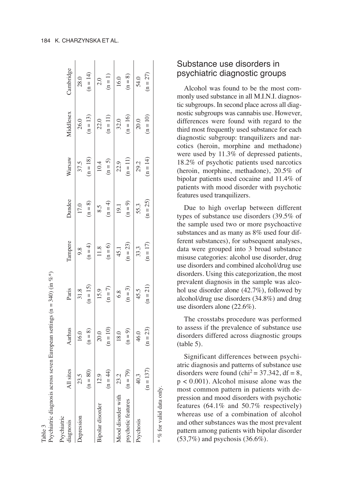| Psychiatric diagnosis across<br>Table 3       |                                |                    | seven European settings ( $n = 340$ ) (in %*) |                    |                    |                    |                    |                    |
|-----------------------------------------------|--------------------------------|--------------------|-----------------------------------------------|--------------------|--------------------|--------------------|--------------------|--------------------|
| Psychiatric<br>diagnosis                      | All sites                      | Aarhus             | Paris                                         | Tampere            | Dundee             | Warsaw             | Middlesex          | Cambridge          |
| Depression                                    | $(n = 80)$<br>23.5             | $(n = 8)$<br>16.0  | $(n = 15)$<br>31.8                            | $(n = 4)$<br>9.8   | $(n = 8)$<br>17.0  | $(n = 18)$<br>37.5 | $(n = 13)$<br>26.0 | $(n = 14)$<br>28.0 |
| Bipolar disorder                              | $(n = 44)$<br>$\frac{12.9}{2}$ | $(n = 10)$<br>20.0 | $(n = 7)$<br>15.9                             | $(n = 6)$<br>11.8  | $(n = 4)$<br>8.5   | $(n = 5)$<br>10.4  | $(n = 11)$<br>22.0 | $(n = 1)$<br>2.0   |
| Mood disorder with 23.2<br>psychotic features | $(n = 79)$                     | $(n = 9)$<br>18.0  | $(n = 3)$<br>6.8                              | $(n = 23)$<br>45.1 | $(n = 9)$<br>19.1  | $(n = 11)$<br>22.9 | $(n = 16)$<br>32.0 | $(n=8)$<br>16.0    |
| Psychosis                                     | (37)<br>40.3<br>$(n = 1)$      | $(n = 23)$<br>46.0 | $(n = 21)$<br>45.5                            | $(n = 17)$<br>33.3 | $(n = 25)$<br>55.3 | $(n = 14)$<br>29.2 | $(n = 10)$<br>20.0 | $(n = 27)$<br>54.0 |
|                                               |                                |                    |                                               |                    |                    |                    |                    |                    |

# Substance use disorders in psychiatric diagnostic groups

Alcohol was found to be the most commonly used substance in all M.I.N.I. diagnostic subgroups. In second place across all diagnostic subgroups was cannabis use. However, differences were found with regard to the third most frequently used substance for each diagnostic subgroup: tranquilizers and narcotics (heroin, morphine and methadone) were used by 11.3% of depressed patients, 18.2% of psychotic patients used narcotics (heroin, morphine, methadone), 20.5% of bipolar patients used cocaine and 11.4% of patients with mood disorder with psychotic features used tranquilizers.

Due to high overlap between different types of substance use disorders (39.5% of the sample used two or more psychoactive substances and as many as 8% used four different substances), for subsequent analyses, data were grouped into 3 broad substance misuse categories: alcohol use disorder, drug use disorders and combined alcohol/drug use disorders. Using this categorization, the most prevalent diagnosis in the sample was alcohol use disorder alone (42.7%), followed by alcohol/drug use disorders (34.8%) and drug use disorders alone (22.6%).

The crosstabs procedure was performed to assess if the prevalence of substance use disorders differed across diagnostic groups (table 5).

Significant differences between psychiatric diagnosis and patterns of substance use disorders were found (chi<sup>2</sup> =  $37.342$ , df = 8, p < 0.001). Alcohol misuse alone was the most common pattern in patients with depression and mood disorders with psychotic features (64.1% and 50.7% respectively) whereas use of a combination of alcohol and other substances was the most prevalent pattern among patients with bipolar disorder  $(53,7\%)$  and psychosis  $(36.6\%).$ 

% for valid data only.  $* \n%$  for valid data only.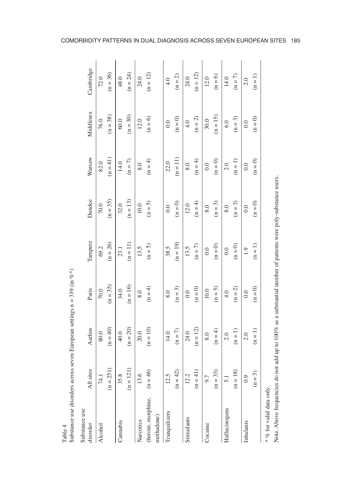| Substance use<br>disorder | All sites        | Aarhus               | Paris               | Tampere             | Dundee     | Warsaw              | Middlesex           | Cambridge  |
|---------------------------|------------------|----------------------|---------------------|---------------------|------------|---------------------|---------------------|------------|
| Alcohol                   | 74.1             | 80.0                 | $70.0$              | 69.2                | 70.0       | 82.0                | 76.0                | 72.0       |
|                           | $(n = 251)$      | $(n = 40)$           | $(n = 35)$          | $(n = 26)$          | $(n = 35)$ | $(n = 41)$          | $(n = 38)$          | $(n = 36)$ |
| Cannabis                  | 35.8             | 40.0                 | 34.0                | 23.1                | 32.0       | 14.0                | $60.0$              | 48.0       |
|                           | (1)<br>$(n = 1)$ | $\rm (n=20)$         | $(n = 16)$          | $(n = 11)$          | $(n = 13)$ | $(n = 7)$           | $(n = 30)$          | $(n = 24)$ |
| Narcotics                 | 13.6             | 20.0                 | 8.0                 | 13.5                | 10.0       | 0.8                 | 12.0                | 24.0       |
| (heroin, morphine,        | $(n = 46)$       | $\left( n=10\right)$ | $(n = 4)$           | $(n=5)$             | $(n=5)$    | $(n = 4)$           | $(n = 6)$           | $(n = 12)$ |
| methadone)                |                  |                      |                     |                     |            |                     |                     |            |
| Tranquilizers             | 12.5             | 14.0                 | 8.0                 | 38.5                | 0.0        | 22.0                | 0.0                 | 4.0        |
|                           | $(n = 42)$       | $(n=7)$              | $(n=3)$             | $(n = 19)$          | $(n=0)$    | $(n = 11)$          | $(n = 0)$           | $(n = 2)$  |
| Stimulants                | 12.2             | 24.0                 | 0.0                 | 13.5                | 12.0       | 0.8                 | 4.0                 | 24.0       |
|                           | $(n = 41)$       | $(n = 12)$           | $\left( n=0\right)$ | $(n=7)$             | $(n = 4)$  | $(n = 4)$           | $(n = 2)$           | $(n = 12)$ |
| Cocaine                   | 9.7              | 8.0                  | 10.0                | 0.0                 | 8.0        | 0.0                 | 30.0                | 12.0       |
|                           | $(n = 33)$       | $(n = 4)$            | $(n = 5)$           | $\left( n=0\right)$ | $(n = 3)$  | $(n = 0)$           | $(n = 15)$          | $(n = 6)$  |
| Hallucinogens             | $\overline{5}$ . | 2.0                  | 4.0                 | 0.0                 | 8.0        | 2.0                 | 6.0                 | 14.0       |
|                           | $(n = 18)$       | $(n = 1)$            | $\left( n=2\right)$ | $(n = 0)$           | $(n=3)$    | $(n = 1)$           | $(n = 3)$           | $(n=7)$    |
| Inhalants                 | 0.9              | 2.0                  | 0.0                 | 1.9                 | 0.0        | 0.0                 | 0.0                 | 2.0        |
|                           | 3)<br>$\equiv$   | $(n = 1)$            | $\left( n=0\right)$ | $(n = 1)$           | $(n = 0)$  | $\left( n=0\right)$ | $\left( n=0\right)$ | $(n = 1)$  |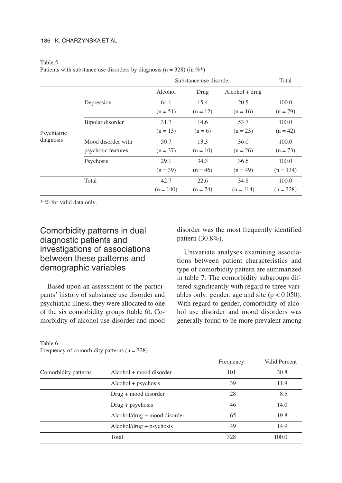|             |                    |             | Substance use disorder |                  | Total       |
|-------------|--------------------|-------------|------------------------|------------------|-------------|
|             |                    | Alcohol     | Drug                   | $Alcohol + drug$ |             |
|             | Depression         | 64.1        | 15.4                   | 20.5             | 100.0       |
|             |                    | $(n = 51)$  | $(n = 12)$             | $(n = 16)$       | $(n = 79)$  |
|             | Bipolar disorder   | 31.7        | 14.6                   | 53.7             | 100.0       |
| Psychiatric |                    | $(n = 13)$  | $(n = 6)$              | $(n = 23)$       | $(n = 42)$  |
| diagnosis   | Mood disorder with | 50.7        | 13.3                   | 36.0             | 100.0       |
|             | psychotic features | $(n = 37)$  | $(n = 10)$             | $(n = 26)$       | $(n = 73)$  |
|             | Psychosis          | 29.1        | 34.3                   | 36.6             | 100.0       |
|             |                    | $(n = 39)$  | $(n = 46)$             | $(n = 49)$       | $(n = 134)$ |
|             | Total              | 42.7        | 22.6                   | 34.8             | 100.0       |
|             |                    | $(n = 140)$ | $(n = 74)$             | $(n = 114)$      | $(n = 328)$ |

#### Table 5

Patients with substance use disorders by diagnosis ( $n = 328$ ) (in  $\%^*$ )

\* % for valid data only.

# Comorbidity patterns in dual diagnostic patients and investigations of associations between these patterns and demographic variables

Based upon an assessment of the participants' history of substance use disorder and psychiatric illness, they were allocated to one of the six comorbidity groups (table 6). Comorbidity of alcohol use disorder and mood disorder was the most frequently identified pattern (30.8%).

Univariate analyses examining associations between patient characteristics and type of comorbidity pattern are summarized in table 7. The comorbidity subgroups differed significantly with regard to three variables only: gender, age and site  $(p < 0.050)$ . With regard to gender, comorbidity of alcohol use disorder and mood disorders was generally found to be more prevalent among

 $F_{\text{max}}$  are  $F_{\text{max}}$   $V_{\text{e}}$   $V_{\text{e}}$   $V_{\text{e}}$   $V_{\text{e}}$   $V_{\text{e}}$   $V_{\text{e}}$   $V_{\text{e}}$   $V_{\text{e}}$   $V_{\text{e}}$   $V_{\text{e}}$   $V_{\text{e}}$   $V_{\text{e}}$   $V_{\text{e}}$   $V_{\text{e}}$   $V_{\text{e}}$   $V_{\text{e}}$   $V_{\text{e}}$   $V_{\text{e}}$   $V_{\text{e}}$   $V_{\text{e$ 

|                      |                                | <b>Fiequelly</b> | vanu Percent |
|----------------------|--------------------------------|------------------|--------------|
| Comorbidity patterns | Alcohol + mood disorder        | 101              | 30.8         |
|                      | $Alcohol + pychosis$           | 39               | 11.9         |
|                      | $Drug + mood$ disorder         | 28               | 8.5          |
|                      | $Drug + psychosis$             | 46               | 14.0         |
|                      | $Alcohol/drug + mood disorder$ | 65               | 19.8         |
|                      | $Alcohol/drug + pychosis$      | 49               | 14.9         |
|                      | Total                          | 328              | 100.0        |

#### Table 6 Frequency of comorbidity patterns  $(n = 328)$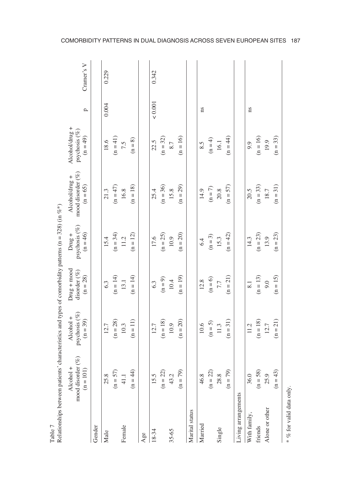|                          | In the sequence of the parameter state of the sequence of the sequence of the sequence of the sequence of $\frac{1}{2}$ or $\frac{1}{2}$ or $\frac{1}{2}$ or $\frac{1}{2}$ or $\frac{1}{2}$ or $\frac{1}{2}$ or $\frac{1}{2}$ or $\frac{1}{2}$ or $\frac{1}{2}$ o |                                          |                                                |                                               |                                                   |                                                  |           |            |
|--------------------------|-------------------------------------------------------------------------------------------------------------------------------------------------------------------------------------------------------------------------------------------------------------------|------------------------------------------|------------------------------------------------|-----------------------------------------------|---------------------------------------------------|--------------------------------------------------|-----------|------------|
|                          | mood disorder $(\%)$<br>(n = 101)<br>Alcohol +                                                                                                                                                                                                                    | psychosis (%)<br>Alcohol +<br>$(n = 39)$ | $Drug + mood$<br>disorder $(\%)$<br>$(n = 28)$ | psychosis (%)<br>$(n = 46)$<br>$Dm\ddot{g}$ + | mood disorder (%)<br>Alcohol/drug +<br>$(n = 65)$ | Alcohol/drug +<br>psychosis $(\%)$<br>$(n = 49)$ | p         | Cramer's V |
| Gender                   |                                                                                                                                                                                                                                                                   |                                          |                                                |                                               |                                                   |                                                  |           |            |
| Male                     | 25.8                                                                                                                                                                                                                                                              | 12.7                                     | 6.3                                            | 15.4                                          | 21.3                                              | 18.6                                             | 0.004     | 0.229      |
|                          | 57)<br>$(n =$                                                                                                                                                                                                                                                     | $(n = 28)$                               | $(n = 14)$                                     | $(n = 34)$                                    | $(n = 47)$                                        | $(n = 41)$                                       |           |            |
| Female                   | $\overline{4}$                                                                                                                                                                                                                                                    | 10.3                                     | 13.1                                           | 11.2                                          | 16.8                                              | 7.5                                              |           |            |
|                          | (44)<br>$(n =$                                                                                                                                                                                                                                                    | $(n = 11)$                               | $(n = 14)$                                     | $(n = 12)$                                    | $(n = 18)$                                        | $\left( n=8\right)$                              |           |            |
| Age                      |                                                                                                                                                                                                                                                                   |                                          |                                                |                                               |                                                   |                                                  |           |            |
| 18-34                    |                                                                                                                                                                                                                                                                   | 12.7                                     | 6.3                                            | 17.6                                          | 25.4                                              | 22.5                                             | $< 0.001$ | 0.342      |
|                          | $15.5$<br>(n = 22)<br>43.2                                                                                                                                                                                                                                        | $\left( n=18\right)$                     | $(n=9)$                                        | $(n = 25)$                                    | $(n = 36)$                                        | $(n = 32)$                                       |           |            |
| 35-65                    |                                                                                                                                                                                                                                                                   | 10.9                                     | $10.4\,$                                       | 10.9                                          | 15.8                                              | 8.7                                              |           |            |
|                          | 79)<br>$(n =$                                                                                                                                                                                                                                                     | $(n = 20)$                               | $(n = 19)$                                     | $(n = 20)$                                    | $(n = 29)$                                        | $(n = 16)$                                       |           |            |
| Marital status           |                                                                                                                                                                                                                                                                   |                                          |                                                |                                               |                                                   |                                                  |           |            |
| Married                  | 46.8                                                                                                                                                                                                                                                              | $10.6$                                   | 12.8                                           | 6.4                                           | 14.9                                              | 8.5                                              | ns        |            |
|                          | $(n = 22)$                                                                                                                                                                                                                                                        | $(n = 5)$                                | $(n = 6)$                                      | $(n=3)$                                       | $(n = 7)$                                         | $(n = 4)$                                        |           |            |
| Single                   | $\infty$<br>28                                                                                                                                                                                                                                                    | 11.3                                     | 7.7                                            | 15.3                                          | $20.8$                                            | 16.1                                             |           |            |
|                          | $(n = 79)$                                                                                                                                                                                                                                                        | $(n = 31)$                               | $(n = 21)$                                     | $(n = 42)$                                    | $(n = 57)$                                        | $(n = 44)$                                       |           |            |
| Living arrangements      |                                                                                                                                                                                                                                                                   |                                          |                                                |                                               |                                                   |                                                  |           |            |
| With family,             | 36.0                                                                                                                                                                                                                                                              | 11.2                                     | $\overline{8.1}$                               | 14.3                                          | 20.5                                              | 9.9                                              | ns        |            |
| friends                  | 58)<br>$(n =$                                                                                                                                                                                                                                                     | $(n = 18)$                               | $(n = 13)$                                     | $(n = 23)$                                    | $(n = 33)$                                        | $(n = 16)$                                       |           |            |
| Alone or other           | C)<br>25                                                                                                                                                                                                                                                          | 12.7                                     | 9.0                                            | 13.9                                          | 18.7                                              | 19.9                                             |           |            |
|                          | 43)<br>$\equiv$                                                                                                                                                                                                                                                   | $(n = 21)$                               | $(n = 15)$                                     | $(n = 23)$                                    | $(n = 31)$                                        | $(n = 33)$                                       |           |            |
| * % for valid data only. |                                                                                                                                                                                                                                                                   |                                          |                                                |                                               |                                                   |                                                  |           |            |

Table 7<br>Relationships between patients' characteristics and types of comorbidity patterns (n = 328) (in  $\%^*$ ) Relationships between patients' characteristics and types of comorbidity patterns (n = 328) (in  $%$ \*)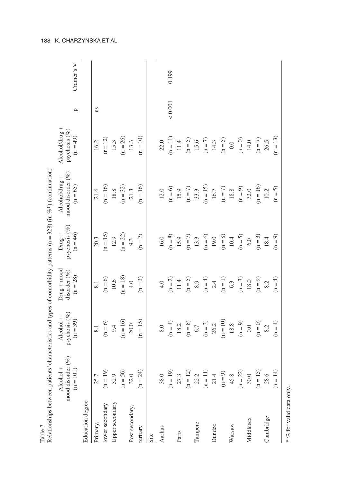| Table 7                  |                                                         |                                          |                                                |                                               | Relationships between patients' characteristics and types of comorbidity patterns (n = 328) (in %*) (continuation) |                                               |              |            |
|--------------------------|---------------------------------------------------------|------------------------------------------|------------------------------------------------|-----------------------------------------------|--------------------------------------------------------------------------------------------------------------------|-----------------------------------------------|--------------|------------|
|                          | mood disorder $(\%)$<br>Alcohol +<br>101)<br>$\equiv$ n | psychosis (%)<br>Alcohol +<br>$(n = 39)$ | $Drug + mood$<br>disorder $(\%)$<br>$(n = 28)$ | psychosis (%)<br>$(n = 46)$<br>$Dm\ddot{g}$ + | mood disorder $(\%)$<br>Alcohol/drug +<br>$(n = 65)$                                                               | Alcohol/drug +<br>psychosis (%)<br>$(n = 49)$ | p            | Cramer's V |
| Education degree         |                                                         |                                          |                                                |                                               |                                                                                                                    |                                               |              |            |
| Primary,                 | 25.7                                                    | 8.1                                      | $\overline{8.1}$                               | 20.3                                          | 21.6                                                                                                               | 16.2                                          | ns           |            |
| lower secondary          | $(n = 19)$                                              | $(n = 6)$                                | $(n = 6)$                                      | $(n = 15)$                                    | $(n = 16)$                                                                                                         | $(n=12)$                                      |              |            |
| Upper secondary          | 32.9                                                    | 9.4                                      | $10.6\,$                                       | 12.9                                          | 18.8                                                                                                               | 15.3                                          |              |            |
|                          | 56)<br>$(n = 1)$                                        | $(n = 16)$                               | $(n = 18)$                                     | $(n = 22)$                                    | $(n = 32)$                                                                                                         | $(n = 26)$                                    |              |            |
| Post secondary,          | 32.0                                                    | 20.0                                     | 4.0                                            | 9.3                                           | 21.3                                                                                                               | 13.3                                          |              |            |
| tertiary                 | 24)<br>$(n =$                                           | $(n = 15)$                               | $(n = 3)$                                      | $(n = 7)$                                     | $(n = 16)$                                                                                                         | $(n = 10)$                                    |              |            |
| Site                     |                                                         |                                          |                                                |                                               |                                                                                                                    |                                               |              |            |
| Aarhus                   | 38.0                                                    | 8.0                                      | 4.0                                            | 16.0                                          | 12.0                                                                                                               | 22.0                                          |              |            |
|                          | $(n = 19)$                                              | $(n = 4)$                                | $(n = 2)$                                      | $(n = 8)$                                     | $(n = 6)$                                                                                                          | $(n = 11)$                                    | ${}_{0.001}$ | 0.199      |
| Paris                    | 27.3                                                    | 18.2                                     | $11.4\,$                                       | 15.9                                          | 15.9                                                                                                               | 11.4                                          |              |            |
|                          | $(n = 12)$                                              | $(n = 8)$                                | $(n = 5)$                                      | $(n = 7)$                                     | $(n = 7)$                                                                                                          | $(n = 5)$                                     |              |            |
| Tampere                  | $\ddot{\Omega}$<br>$\mathfrak{L}$                       | 6.7                                      | 8.9                                            | 13.3                                          | 33.3                                                                                                               | 15.6                                          |              |            |
|                          | $\Xi$<br>$(n =$                                         | $(n = 3)$                                | $(n = 4)$                                      | $(n = 6)$                                     | $(n = 15)$                                                                                                         | $(n = 7)$                                     |              |            |
| Dundee                   | $\overline{a}$<br>$\overline{21}$                       | 26.2                                     | 2.4                                            | 19.0                                          | 16.7                                                                                                               | 14.3                                          |              |            |
|                          | $(n=9)$                                                 | $(n = 10)$                               | $(n = 1)$                                      | $(n = 8)$                                     | $(n=7)$                                                                                                            | $(n = 5)$                                     |              |            |
| Warsaw                   | œ.<br>45                                                | 18.8                                     | 6.3                                            | 10.4                                          | 18.8                                                                                                               | 0.0                                           |              |            |
|                          | $\widetilde{\mathfrak{L}}$<br>$(n = 1)$                 | $\left( n=9\right)$                      | $(n = 3)$                                      | $(n = 5)$                                     | $(n=9)$                                                                                                            | $\left( n=0\right)$                           |              |            |
| Middlesex                | $\ddot{\circ}$<br>$\overline{30}$                       | 0.0                                      | 18.0                                           | 6.0                                           | 32.0                                                                                                               | 14.0                                          |              |            |
|                          | $(n = 15)$                                              | $(n = 0)$                                | $(n = 9)$                                      | $(n = 3)$                                     | $(n = 16)$                                                                                                         | $(n=7)$                                       |              |            |
| Cambridge                | $\tilde{\mathcal{O}}$<br>28                             | 8.2                                      | 8.2                                            | 18.4                                          | 10.2                                                                                                               | 26.5                                          |              |            |
|                          | $(n = 14)$                                              | $(n = 4)$                                | $(n = 4)$                                      | $(n = 9)$                                     | $(n = 5)$                                                                                                          | $(n = 13)$                                    |              |            |
| * % for valid data only. |                                                         |                                          |                                                |                                               |                                                                                                                    |                                               |              |            |

188 K. CHARZYNSKA ET AL.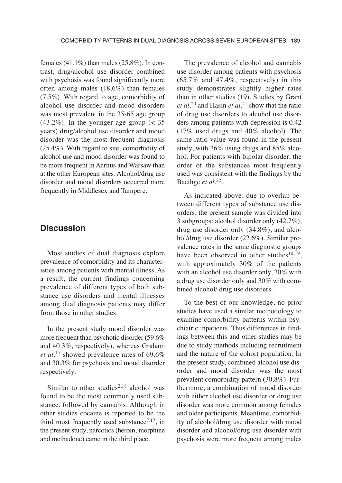females  $(41.1\%)$  than males  $(25.8\%)$ . In contrast, drug/alcohol use disorder combined with psychosis was found significantly more often among males (18.6%) than females (7.5%). With regard to age, comorbidity of alcohol use disorder and mood disorders was most prevalent in the 35-65 age group  $(43.2\%)$ . In the younger age group  $( $35$$ years) drug/alcohol use disorder and mood disorder was the most frequent diagnosis (25.4%). With regard to site, comorbidity of alcohol use and mood disorder was found to be more frequent in Aarhus and Warsaw than at the other European sites. Alcohol/drug use disorder and mood disorders occurred more frequently in Middlesex and Tampere.

## **Discussion**

Most studies of dual diagnosis explore prevalence of comorbidity and its characteristics among patients with mental illness. As a result, the current findings concerning prevalence of different types of both substance use disorders and mental illnesses among dual diagnosis patients may differ from those in other studies.

In the present study mood disorder was more frequent than psychotic disorder (59.6% and 40.3%, respectively), whereas Graham *et al.*<sup>17</sup> showed prevalence rates of 69.6% and 30.3% for psychosis and mood disorder respectively.

Similar to other studies<sup>2,18</sup> alcohol was found to be the most commonly used substance, followed by cannabis. Although in other studies cocaine is reported to be the third most frequently used substance<sup>7,17</sup>, in the present study, narcotics (heroin, morphine and methadone) came in the third place.

The prevalence of alcohol and cannabis use disorder among patients with psychosis (65.7% and 47.4%, respectively) in this study demonstrates slightly higher rates than in other studies (19). Studies by Grant *et al.*<sup>20</sup> and Hasin *et al.*<sup>21</sup> show that the ratio of drug use disorders to alcohol use disorders among patients with depression is 0.42 (17% used drugs and 40% alcohol). The same ratio value was found in the present study, with 36% using drugs and 85% alcohol. For patients with bipolar disorder, the order of the substances most frequently used was consistent with the findings by the Baethge *et al.*22.

As indicated above, due to overlap between different types of substance use disorders, the present sample was divided into 3 subgroups: alcohol disorder only (42.7%), drug use disorder only (34.8%), and alcohol/drug use disorder (22.6%). Similar prevalence rates in the same diagnostic groups have been observed in other studies<sup>10,19</sup>, with approximately 30% of the patients with an alcohol use disorder only, 30% with a drug use disorder only and 30% with combined alcohol/ drug use disorders.

To the best of our knowledge, no prior studies have used a similar methodology to examine comorbidity patterns within psychiatric inpatients. Thus differences in findings between this and other studies may be due to study methods including recruitment and the nature of the cohort population. In the present study, combined alcohol use disorder and mood disorder was the most prevalent comorbidity pattern (30.8%). Furthermore, a combination of mood disorder with either alcohol use disorder or drug use disorder was more common among females and older participants. Meantime, comorbidity of alcohol/drug use disorder with mood disorder and alcohol/drug use disorder with psychosis were more frequent among males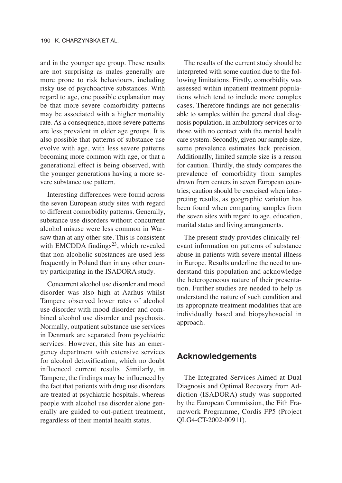and in the younger age group. These results are not surprising as males generally are more prone to risk behaviours, including risky use of psychoactive substances. With regard to age, one possible explanation may be that more severe comorbidity patterns may be associated with a higher mortality rate. As a consequence, more severe patterns are less prevalent in older age groups. It is also possible that patterns of substance use evolve with age, with less severe patterns becoming more common with age, or that a generational effect is being observed, with the younger generations having a more severe substance use pattern.

Interesting differences were found across the seven European study sites with regard to different comorbidity patterns. Generally, substance use disorders without concurrent alcohol misuse were less common in Warsaw than at any other site. This is consistent with EMCDDA findings $^{23}$ , which revealed that non-alcoholic substances are used less frequently in Poland than in any other country participating in the ISADORA study.

Concurrent alcohol use disorder and mood disorder was also high at Aarhus whilst Tampere observed lower rates of alcohol use disorder with mood disorder and combined alcohol use disorder and psychosis. Normally, outpatient substance use services in Denmark are separated from psychiatric services. However, this site has an emergency department with extensive services for alcohol detoxification, which no doubt influenced current results. Similarly, in Tampere, the findings may be influenced by the fact that patients with drug use disorders are treated at psychiatric hospitals, whereas people with alcohol use disorder alone generally are guided to out-patient treatment, regardless of their mental health status.

The results of the current study should be interpreted with some caution due to the following limitations. Firstly, comorbidity was assessed within inpatient treatment populations which tend to include more complex cases. Therefore findings are not generalisable to samples within the general dual diagnosis population, in ambulatory services or to those with no contact with the mental health care system. Secondly, given our sample size, some prevalence estimates lack precision. Additionally, limited sample size is a reason for caution. Thirdly, the study compares the prevalence of comorbidity from samples drawn from centers in seven European countries; caution should be exercised when interpreting results, as geographic variation has been found when comparing samples from the seven sites with regard to age, education, marital status and living arrangements.

The present study provides clinically relevant information on patterns of substance abuse in patients with severe mental illness in Europe. Results underline the need to understand this population and acknowledge the heterogeneous nature of their presentation. Further studies are needed to help us understand the nature of such condition and its appropriate treatment modalities that are individually based and biopsyhosocial in approach.

#### **Acknowledgements**

The Integrated Services Aimed at Dual Diagnosis and Optimal Recovery from Addiction (ISADORA) study was supported by the European Commission, the Fith Frame work Programme, Cordis FP5 (Project QLG4-CT-2002-00911).